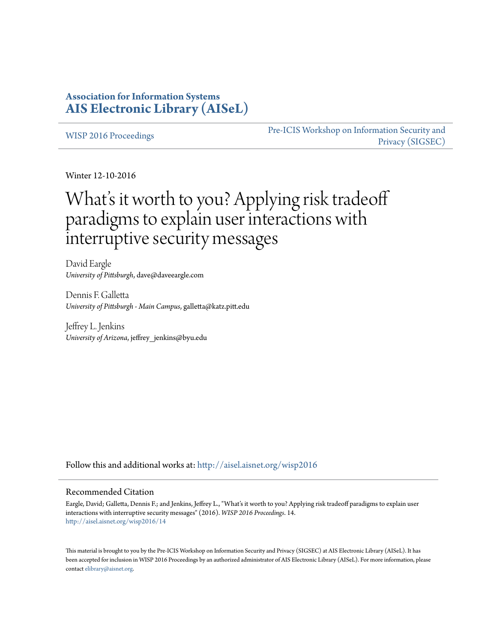# **Association for Information Systems [AIS Electronic Library \(AISeL\)](http://aisel.aisnet.org?utm_source=aisel.aisnet.org%2Fwisp2016%2F14&utm_medium=PDF&utm_campaign=PDFCoverPages)**

[WISP 2016 Proceedings](http://aisel.aisnet.org/wisp2016?utm_source=aisel.aisnet.org%2Fwisp2016%2F14&utm_medium=PDF&utm_campaign=PDFCoverPages)

[Pre-ICIS Workshop on Information Security and](http://aisel.aisnet.org/sigsec?utm_source=aisel.aisnet.org%2Fwisp2016%2F14&utm_medium=PDF&utm_campaign=PDFCoverPages) [Privacy \(SIGSEC\)](http://aisel.aisnet.org/sigsec?utm_source=aisel.aisnet.org%2Fwisp2016%2F14&utm_medium=PDF&utm_campaign=PDFCoverPages)

Winter 12-10-2016

# What's it worth to you? Applying risk tradeoff paradigms to explain user interactions with interruptive security messages

David Eargle *University of Pittsburgh*, dave@daveeargle.com

Dennis F. Galletta *University of Pittsburgh - Main Campus*, galletta@katz.pitt.edu

Jeffrey L. Jenkins *University of Arizona*, jeffrey\_jenkins@byu.edu

Follow this and additional works at: [http://aisel.aisnet.org/wisp2016](http://aisel.aisnet.org/wisp2016?utm_source=aisel.aisnet.org%2Fwisp2016%2F14&utm_medium=PDF&utm_campaign=PDFCoverPages)

#### Recommended Citation

Eargle, David; Galletta, Dennis F.; and Jenkins, Jeffrey L., "What's it worth to you? Applying risk tradeoff paradigms to explain user interactions with interruptive security messages" (2016). *WISP 2016 Proceedings*. 14. [http://aisel.aisnet.org/wisp2016/14](http://aisel.aisnet.org/wisp2016/14?utm_source=aisel.aisnet.org%2Fwisp2016%2F14&utm_medium=PDF&utm_campaign=PDFCoverPages)

This material is brought to you by the Pre-ICIS Workshop on Information Security and Privacy (SIGSEC) at AIS Electronic Library (AISeL). It has been accepted for inclusion in WISP 2016 Proceedings by an authorized administrator of AIS Electronic Library (AISeL). For more information, please contact [elibrary@aisnet.org.](mailto:elibrary@aisnet.org%3E)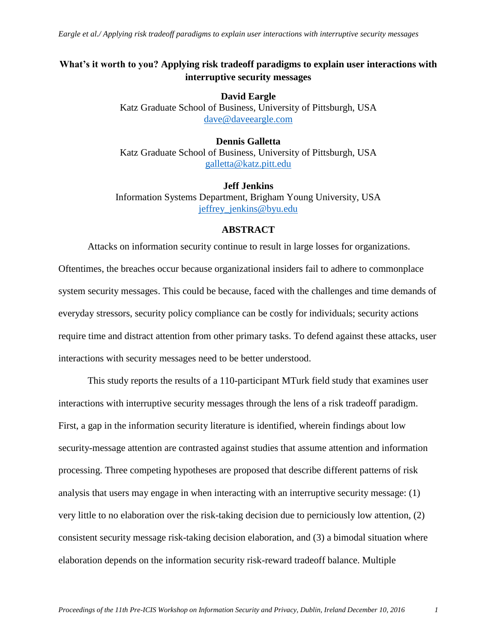*Eargle et al./ Applying risk tradeoff paradigms to explain user interactions with interruptive security messages*

# **What's it worth to you? Applying risk tradeoff paradigms to explain user interactions with interruptive security messages**

**David Eargle** Katz Graduate School of Business, University of Pittsburgh, USA [dave@daveeargle.com](mailto:dave@daveeargle.com)

# **Dennis Galletta** Katz Graduate School of Business, University of Pittsburgh, USA [galletta@katz.pitt.edu](mailto:galletta@katz.pitt.edu)

**Jeff Jenkins** Information Systems Department, Brigham Young University, USA jeffrey jenkins@byu.edu

# **ABSTRACT**

Attacks on information security continue to result in large losses for organizations. Oftentimes, the breaches occur because organizational insiders fail to adhere to commonplace system security messages. This could be because, faced with the challenges and time demands of everyday stressors, security policy compliance can be costly for individuals; security actions require time and distract attention from other primary tasks. To defend against these attacks, user interactions with security messages need to be better understood.

This study reports the results of a 110-participant MTurk field study that examines user interactions with interruptive security messages through the lens of a risk tradeoff paradigm. First, a gap in the information security literature is identified, wherein findings about low security-message attention are contrasted against studies that assume attention and information processing. Three competing hypotheses are proposed that describe different patterns of risk analysis that users may engage in when interacting with an interruptive security message: (1) very little to no elaboration over the risk-taking decision due to perniciously low attention, (2) consistent security message risk-taking decision elaboration, and (3) a bimodal situation where elaboration depends on the information security risk-reward tradeoff balance. Multiple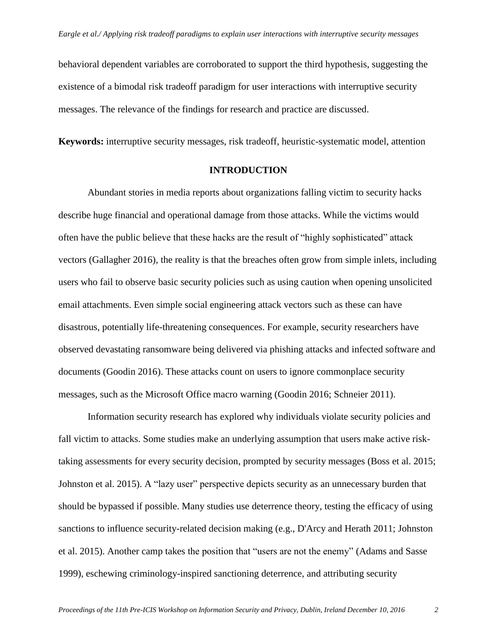behavioral dependent variables are corroborated to support the third hypothesis, suggesting the existence of a bimodal risk tradeoff paradigm for user interactions with interruptive security messages. The relevance of the findings for research and practice are discussed.

**Keywords:** interruptive security messages, risk tradeoff, heuristic-systematic model, attention

# **INTRODUCTION**

Abundant stories in media reports about organizations falling victim to security hacks describe huge financial and operational damage from those attacks. While the victims would often have the public believe that these hacks are the result of "highly sophisticated" attack vectors (Gallagher 2016), the reality is that the breaches often grow from simple inlets, including users who fail to observe basic security policies such as using caution when opening unsolicited email attachments. Even simple social engineering attack vectors such as these can have disastrous, potentially life-threatening consequences. For example, security researchers have observed devastating ransomware being delivered via phishing attacks and infected software and documents (Goodin 2016). These attacks count on users to ignore commonplace security messages, such as the Microsoft Office macro warning (Goodin 2016; Schneier 2011).

Information security research has explored why individuals violate security policies and fall victim to attacks. Some studies make an underlying assumption that users make active risktaking assessments for every security decision, prompted by security messages (Boss et al. 2015; Johnston et al. 2015). A "lazy user" perspective depicts security as an unnecessary burden that should be bypassed if possible. Many studies use deterrence theory, testing the efficacy of using sanctions to influence security-related decision making (e.g., D'Arcy and Herath 2011; Johnston et al. 2015). Another camp takes the position that "users are not the enemy" (Adams and Sasse 1999), eschewing criminology-inspired sanctioning deterrence, and attributing security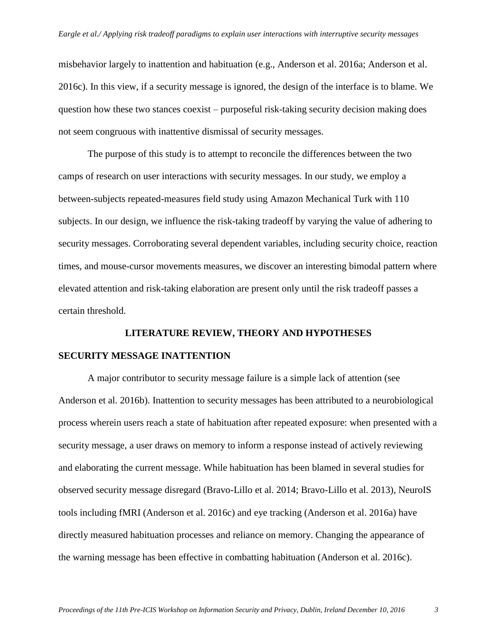misbehavior largely to inattention and habituation (e.g., Anderson et al. 2016a; Anderson et al. 2016c). In this view, if a security message is ignored, the design of the interface is to blame. We question how these two stances coexist – purposeful risk-taking security decision making does not seem congruous with inattentive dismissal of security messages.

The purpose of this study is to attempt to reconcile the differences between the two camps of research on user interactions with security messages. In our study, we employ a between-subjects repeated-measures field study using Amazon Mechanical Turk with 110 subjects. In our design, we influence the risk-taking tradeoff by varying the value of adhering to security messages. Corroborating several dependent variables, including security choice, reaction times, and mouse-cursor movements measures, we discover an interesting bimodal pattern where elevated attention and risk-taking elaboration are present only until the risk tradeoff passes a certain threshold.

# **LITERATURE REVIEW, THEORY AND HYPOTHESES SECURITY MESSAGE INATTENTION**

A major contributor to security message failure is a simple lack of attention (see Anderson et al. 2016b). Inattention to security messages has been attributed to a neurobiological process wherein users reach a state of habituation after repeated exposure: when presented with a security message, a user draws on memory to inform a response instead of actively reviewing and elaborating the current message. While habituation has been blamed in several studies for observed security message disregard (Bravo-Lillo et al. 2014; Bravo-Lillo et al. 2013), NeuroIS tools including fMRI (Anderson et al. 2016c) and eye tracking (Anderson et al. 2016a) have directly measured habituation processes and reliance on memory. Changing the appearance of the warning message has been effective in combatting habituation (Anderson et al. 2016c).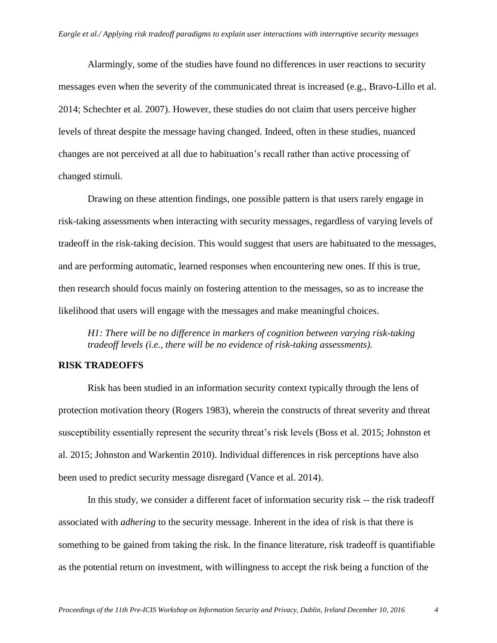Alarmingly, some of the studies have found no differences in user reactions to security messages even when the severity of the communicated threat is increased (e.g., Bravo-Lillo et al. 2014; Schechter et al. 2007). However, these studies do not claim that users perceive higher levels of threat despite the message having changed. Indeed, often in these studies, nuanced changes are not perceived at all due to habituation's recall rather than active processing of changed stimuli.

Drawing on these attention findings, one possible pattern is that users rarely engage in risk-taking assessments when interacting with security messages, regardless of varying levels of tradeoff in the risk-taking decision. This would suggest that users are habituated to the messages, and are performing automatic, learned responses when encountering new ones. If this is true, then research should focus mainly on fostering attention to the messages, so as to increase the likelihood that users will engage with the messages and make meaningful choices.

*H1: There will be no difference in markers of cognition between varying risk-taking tradeoff levels (i.e., there will be no evidence of risk-taking assessments).*

# **RISK TRADEOFFS**

Risk has been studied in an information security context typically through the lens of protection motivation theory (Rogers 1983), wherein the constructs of threat severity and threat susceptibility essentially represent the security threat's risk levels (Boss et al. 2015; Johnston et al. 2015; Johnston and Warkentin 2010). Individual differences in risk perceptions have also been used to predict security message disregard (Vance et al. 2014).

In this study, we consider a different facet of information security risk -- the risk tradeoff associated with *adhering* to the security message. Inherent in the idea of risk is that there is something to be gained from taking the risk. In the finance literature, risk tradeoff is quantifiable as the potential return on investment, with willingness to accept the risk being a function of the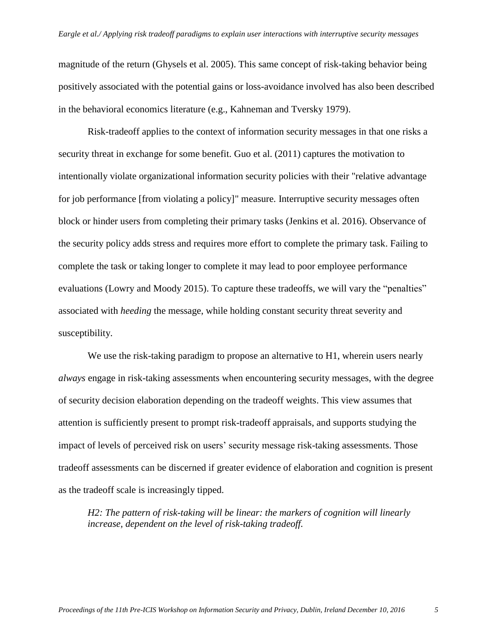magnitude of the return (Ghysels et al. 2005). This same concept of risk-taking behavior being positively associated with the potential gains or loss-avoidance involved has also been described in the behavioral economics literature (e.g., Kahneman and Tversky 1979).

Risk-tradeoff applies to the context of information security messages in that one risks a security threat in exchange for some benefit. Guo et al. (2011) captures the motivation to intentionally violate organizational information security policies with their "relative advantage for job performance [from violating a policy]" measure. Interruptive security messages often block or hinder users from completing their primary tasks (Jenkins et al. 2016). Observance of the security policy adds stress and requires more effort to complete the primary task. Failing to complete the task or taking longer to complete it may lead to poor employee performance evaluations (Lowry and Moody 2015). To capture these tradeoffs, we will vary the "penalties" associated with *heeding* the message, while holding constant security threat severity and susceptibility.

We use the risk-taking paradigm to propose an alternative to H1, wherein users nearly *always* engage in risk-taking assessments when encountering security messages, with the degree of security decision elaboration depending on the tradeoff weights. This view assumes that attention is sufficiently present to prompt risk-tradeoff appraisals, and supports studying the impact of levels of perceived risk on users' security message risk-taking assessments. Those tradeoff assessments can be discerned if greater evidence of elaboration and cognition is present as the tradeoff scale is increasingly tipped.

*H2: The pattern of risk-taking will be linear: the markers of cognition will linearly increase, dependent on the level of risk-taking tradeoff.*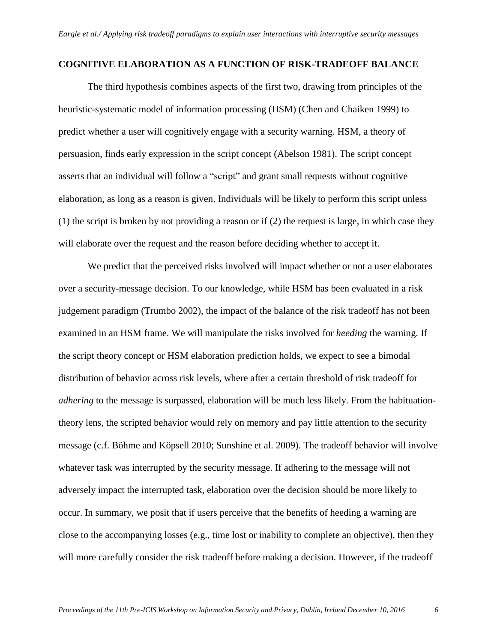#### **COGNITIVE ELABORATION AS A FUNCTION OF RISK-TRADEOFF BALANCE**

The third hypothesis combines aspects of the first two, drawing from principles of the heuristic-systematic model of information processing (HSM) (Chen and Chaiken 1999) to predict whether a user will cognitively engage with a security warning. HSM, a theory of persuasion, finds early expression in the script concept (Abelson 1981). The script concept asserts that an individual will follow a "script" and grant small requests without cognitive elaboration, as long as a reason is given. Individuals will be likely to perform this script unless (1) the script is broken by not providing a reason or if (2) the request is large, in which case they will elaborate over the request and the reason before deciding whether to accept it.

We predict that the perceived risks involved will impact whether or not a user elaborates over a security-message decision. To our knowledge, while HSM has been evaluated in a risk judgement paradigm (Trumbo 2002), the impact of the balance of the risk tradeoff has not been examined in an HSM frame. We will manipulate the risks involved for *heeding* the warning. If the script theory concept or HSM elaboration prediction holds, we expect to see a bimodal distribution of behavior across risk levels, where after a certain threshold of risk tradeoff for *adhering* to the message is surpassed, elaboration will be much less likely. From the habituationtheory lens, the scripted behavior would rely on memory and pay little attention to the security message (c.f. Böhme and Köpsell 2010; Sunshine et al. 2009). The tradeoff behavior will involve whatever task was interrupted by the security message. If adhering to the message will not adversely impact the interrupted task, elaboration over the decision should be more likely to occur. In summary, we posit that if users perceive that the benefits of heeding a warning are close to the accompanying losses (e.g., time lost or inability to complete an objective), then they will more carefully consider the risk tradeoff before making a decision. However, if the tradeoff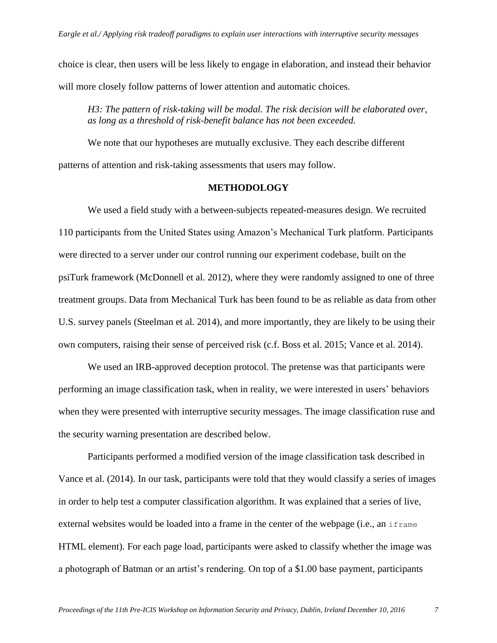choice is clear, then users will be less likely to engage in elaboration, and instead their behavior will more closely follow patterns of lower attention and automatic choices.

*H3: The pattern of risk-taking will be modal. The risk decision will be elaborated over, as long as a threshold of risk-benefit balance has not been exceeded.*

We note that our hypotheses are mutually exclusive. They each describe different patterns of attention and risk-taking assessments that users may follow.

# **METHODOLOGY**

We used a field study with a between-subjects repeated-measures design. We recruited 110 participants from the United States using Amazon's Mechanical Turk platform. Participants were directed to a server under our control running our experiment codebase, built on the psiTurk framework (McDonnell et al. 2012), where they were randomly assigned to one of three treatment groups. Data from Mechanical Turk has been found to be as reliable as data from other U.S. survey panels (Steelman et al. 2014), and more importantly, they are likely to be using their own computers, raising their sense of perceived risk (c.f. Boss et al. 2015; Vance et al. 2014).

We used an IRB-approved deception protocol. The pretense was that participants were performing an image classification task, when in reality, we were interested in users' behaviors when they were presented with interruptive security messages. The image classification ruse and the security warning presentation are described below.

Participants performed a modified version of the image classification task described in Vance et al. (2014). In our task, participants were told that they would classify a series of images in order to help test a computer classification algorithm. It was explained that a series of live, external websites would be loaded into a frame in the center of the webpage (i.e., an iframe HTML element). For each page load, participants were asked to classify whether the image was a photograph of Batman or an artist's rendering. On top of a \$1.00 base payment, participants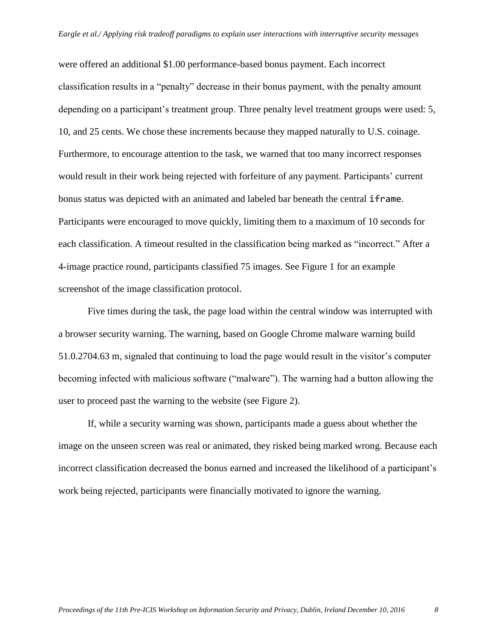were offered an additional \$1.00 performance-based bonus payment. Each incorrect classification results in a "penalty" decrease in their bonus payment, with the penalty amount depending on a participant's treatment group. Three penalty level treatment groups were used: 5, 10, and 25 cents. We chose these increments because they mapped naturally to U.S. coinage. Furthermore, to encourage attention to the task, we warned that too many incorrect responses would result in their work being rejected with forfeiture of any payment. Participants' current bonus status was depicted with an animated and labeled bar beneath the central iframe. Participants were encouraged to move quickly, limiting them to a maximum of 10 seconds for each classification. A timeout resulted in the classification being marked as "incorrect." After a 4-image practice round, participants classified 75 images. See [Figure 1](#page-9-0) for an example screenshot of the image classification protocol.

Five times during the task, the page load within the central window was interrupted with a browser security warning. The warning, based on Google Chrome malware warning build 51.0.2704.63 m, signaled that continuing to load the page would result in the visitor's computer becoming infected with malicious software ("malware"). The warning had a button allowing the user to proceed past the warning to the website (see [Figure 2\)](#page-9-1).

If, while a security warning was shown, participants made a guess about whether the image on the unseen screen was real or animated, they risked being marked wrong. Because each incorrect classification decreased the bonus earned and increased the likelihood of a participant's work being rejected, participants were financially motivated to ignore the warning.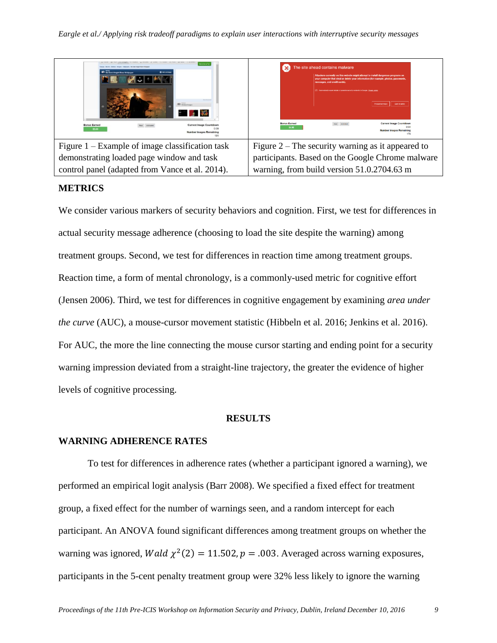

# <span id="page-9-1"></span><span id="page-9-0"></span>**METRICS**

We consider various markers of security behaviors and cognition. First, we test for differences in actual security message adherence (choosing to load the site despite the warning) among treatment groups. Second, we test for differences in reaction time among treatment groups. Reaction time, a form of mental chronology, is a commonly-used metric for cognitive effort (Jensen 2006). Third, we test for differences in cognitive engagement by examining *area under the curve* (AUC), a mouse-cursor movement statistic (Hibbeln et al. 2016; Jenkins et al. 2016). For AUC, the more the line connecting the mouse cursor starting and ending point for a security warning impression deviated from a straight-line trajectory, the greater the evidence of higher levels of cognitive processing.

# **RESULTS**

# **WARNING ADHERENCE RATES**

To test for differences in adherence rates (whether a participant ignored a warning), we performed an empirical logit analysis (Barr 2008). We specified a fixed effect for treatment group, a fixed effect for the number of warnings seen, and a random intercept for each participant. An ANOVA found significant differences among treatment groups on whether the warning was ignored, Wald  $\chi^2(2) = 11.502$ ,  $p = .003$ . Averaged across warning exposures, participants in the 5-cent penalty treatment group were 32% less likely to ignore the warning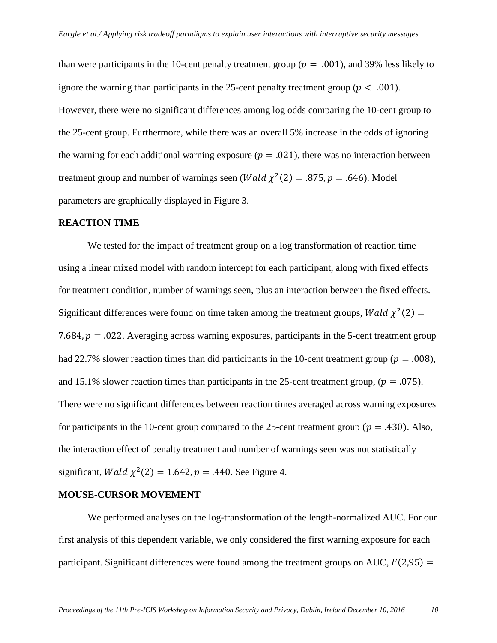than were participants in the 10-cent penalty treatment group ( $p = .001$ ), and 39% less likely to ignore the warning than participants in the 25-cent penalty treatment group ( $p < .001$ ). However, there were no significant differences among log odds comparing the 10-cent group to the 25-cent group. Furthermore, while there was an overall 5% increase in the odds of ignoring the warning for each additional warning exposure ( $p = .021$ ), there was no interaction between treatment group and number of warnings seen (*Wald*  $\chi^2(2) = .875$ ,  $p = .646$ ). Model parameters are graphically displayed in [Figure 3.](#page-11-0)

# **REACTION TIME**

We tested for the impact of treatment group on a log transformation of reaction time using a linear mixed model with random intercept for each participant, along with fixed effects for treatment condition, number of warnings seen, plus an interaction between the fixed effects. Significant differences were found on time taken among the treatment groups, Wald  $\chi^2(2)$  = 7.684,  $p = 0.022$ . Averaging across warning exposures, participants in the 5-cent treatment group had 22.7% slower reaction times than did participants in the 10-cent treatment group ( $p = .008$ ), and 15.1% slower reaction times than participants in the 25-cent treatment group, ( $p = .075$ ). There were no significant differences between reaction times averaged across warning exposures for participants in the 10-cent group compared to the 25-cent treatment group ( $p = .430$ ). Also, the interaction effect of penalty treatment and number of warnings seen was not statistically significant, *Wald*  $\chi^2(2) = 1.642$ ,  $p = .440$ . See [Figure 4.](#page-11-1)

#### **MOUSE-CURSOR MOVEMENT**

We performed analyses on the log-transformation of the length-normalized AUC. For our first analysis of this dependent variable, we only considered the first warning exposure for each participant. Significant differences were found among the treatment groups on AUC,  $F(2,95) =$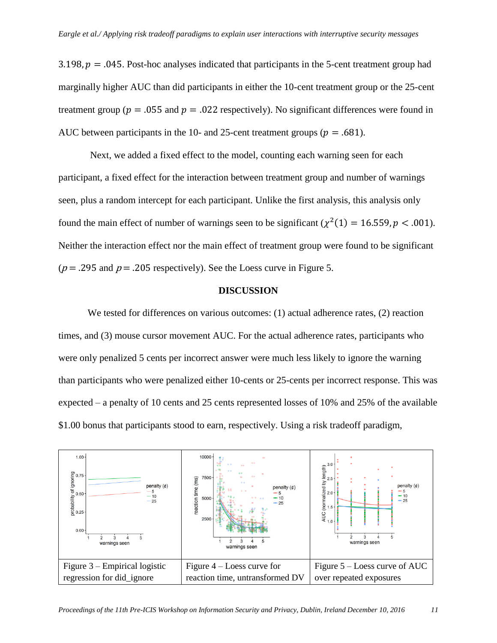3.198,  $p = 0.045$ . Post-hoc analyses indicated that participants in the 5-cent treatment group had marginally higher AUC than did participants in either the 10-cent treatment group or the 25-cent treatment group ( $p = .055$  and  $p = .022$  respectively). No significant differences were found in AUC between participants in the 10- and 25-cent treatment groups ( $p = .681$ ).

Next, we added a fixed effect to the model, counting each warning seen for each participant, a fixed effect for the interaction between treatment group and number of warnings seen, plus a random intercept for each participant. Unlike the first analysis, this analysis only found the main effect of number of warnings seen to be significant ( $\chi^2(1) = 16.559$ ,  $p < .001$ ). Neither the interaction effect nor the main effect of treatment group were found to be significant ( $p = .295$  and  $p = .205$  respectively). See the Loess curve in [Figure 5.](#page-11-2)

# <span id="page-11-2"></span>**DISCUSSION**

We tested for differences on various outcomes: (1) actual adherence rates, (2) reaction times, and (3) mouse cursor movement AUC. For the actual adherence rates, participants who were only penalized 5 cents per incorrect answer were much less likely to ignore the warning than participants who were penalized either 10-cents or 25-cents per incorrect response. This was expected – a penalty of 10 cents and 25 cents represented losses of 10% and 25% of the available \$1.00 bonus that participants stood to earn, respectively. Using a risk tradeoff paradigm,

<span id="page-11-1"></span><span id="page-11-0"></span>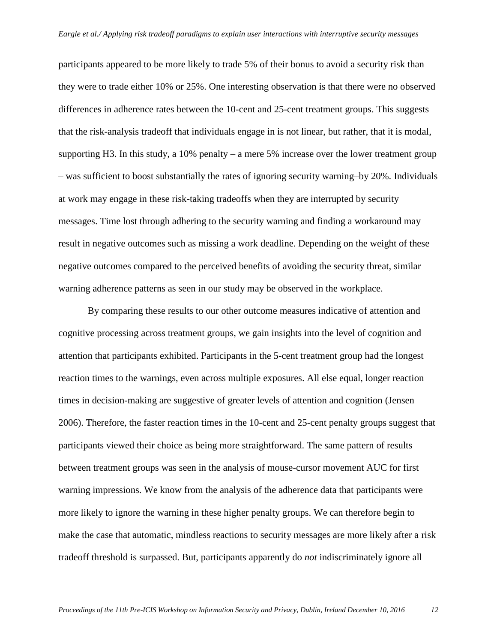participants appeared to be more likely to trade 5% of their bonus to avoid a security risk than they were to trade either 10% or 25%. One interesting observation is that there were no observed differences in adherence rates between the 10-cent and 25-cent treatment groups. This suggests that the risk-analysis tradeoff that individuals engage in is not linear, but rather, that it is modal, supporting H3. In this study, a 10% penalty – a mere 5% increase over the lower treatment group – was sufficient to boost substantially the rates of ignoring security warning–by 20%. Individuals at work may engage in these risk-taking tradeoffs when they are interrupted by security messages. Time lost through adhering to the security warning and finding a workaround may result in negative outcomes such as missing a work deadline. Depending on the weight of these negative outcomes compared to the perceived benefits of avoiding the security threat, similar warning adherence patterns as seen in our study may be observed in the workplace.

By comparing these results to our other outcome measures indicative of attention and cognitive processing across treatment groups, we gain insights into the level of cognition and attention that participants exhibited. Participants in the 5-cent treatment group had the longest reaction times to the warnings, even across multiple exposures. All else equal, longer reaction times in decision-making are suggestive of greater levels of attention and cognition (Jensen 2006). Therefore, the faster reaction times in the 10-cent and 25-cent penalty groups suggest that participants viewed their choice as being more straightforward. The same pattern of results between treatment groups was seen in the analysis of mouse-cursor movement AUC for first warning impressions. We know from the analysis of the adherence data that participants were more likely to ignore the warning in these higher penalty groups. We can therefore begin to make the case that automatic, mindless reactions to security messages are more likely after a risk tradeoff threshold is surpassed. But, participants apparently do *not* indiscriminately ignore all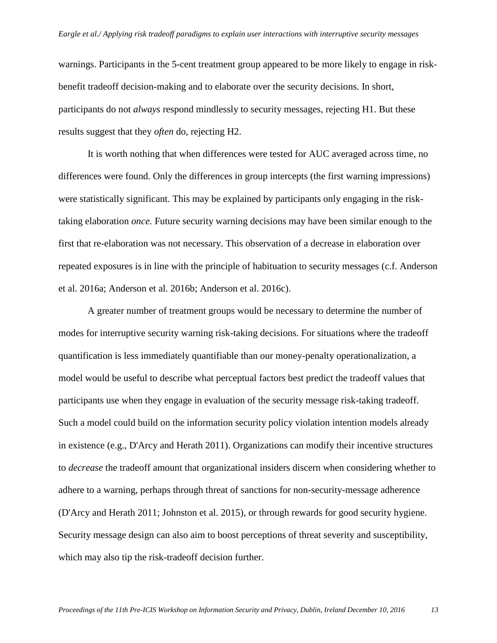warnings. Participants in the 5-cent treatment group appeared to be more likely to engage in riskbenefit tradeoff decision-making and to elaborate over the security decisions. In short, participants do not *always* respond mindlessly to security messages, rejecting H1. But these results suggest that they *often* do, rejecting H2.

It is worth nothing that when differences were tested for AUC averaged across time, no differences were found. Only the differences in group intercepts (the first warning impressions) were statistically significant. This may be explained by participants only engaging in the risktaking elaboration *once.* Future security warning decisions may have been similar enough to the first that re-elaboration was not necessary. This observation of a decrease in elaboration over repeated exposures is in line with the principle of habituation to security messages (c.f. Anderson et al. 2016a; Anderson et al. 2016b; Anderson et al. 2016c).

A greater number of treatment groups would be necessary to determine the number of modes for interruptive security warning risk-taking decisions. For situations where the tradeoff quantification is less immediately quantifiable than our money-penalty operationalization, a model would be useful to describe what perceptual factors best predict the tradeoff values that participants use when they engage in evaluation of the security message risk-taking tradeoff. Such a model could build on the information security policy violation intention models already in existence (e.g., D'Arcy and Herath 2011). Organizations can modify their incentive structures to *decrease* the tradeoff amount that organizational insiders discern when considering whether to adhere to a warning, perhaps through threat of sanctions for non-security-message adherence (D'Arcy and Herath 2011; Johnston et al. 2015), or through rewards for good security hygiene. Security message design can also aim to boost perceptions of threat severity and susceptibility, which may also tip the risk-tradeoff decision further.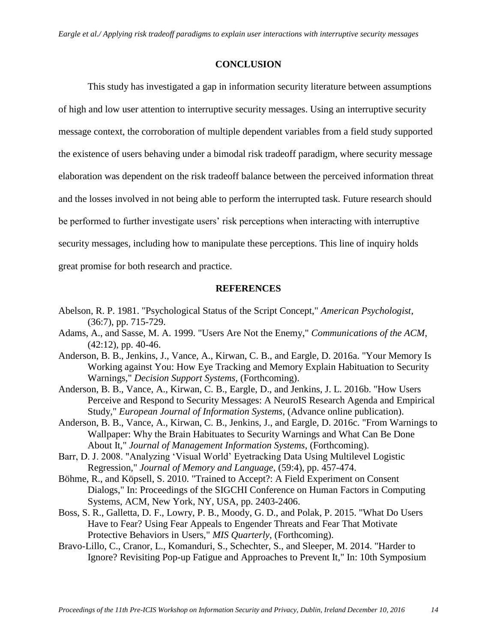#### **CONCLUSION**

This study has investigated a gap in information security literature between assumptions of high and low user attention to interruptive security messages. Using an interruptive security message context, the corroboration of multiple dependent variables from a field study supported the existence of users behaving under a bimodal risk tradeoff paradigm, where security message elaboration was dependent on the risk tradeoff balance between the perceived information threat and the losses involved in not being able to perform the interrupted task. Future research should be performed to further investigate users' risk perceptions when interacting with interruptive security messages, including how to manipulate these perceptions. This line of inquiry holds great promise for both research and practice.

## **REFERENCES**

- Abelson, R. P. 1981. "Psychological Status of the Script Concept," *American Psychologist*, (36:7), pp. 715-729.
- Adams, A., and Sasse, M. A. 1999. "Users Are Not the Enemy," *Communications of the ACM*,  $(42:12)$ , pp. 40-46.
- Anderson, B. B., Jenkins, J., Vance, A., Kirwan, C. B., and Eargle, D. 2016a. "Your Memory Is Working against You: How Eye Tracking and Memory Explain Habituation to Security Warnings," *Decision Support Systems*, (Forthcoming).
- Anderson, B. B., Vance, A., Kirwan, C. B., Eargle, D., and Jenkins, J. L. 2016b. "How Users Perceive and Respond to Security Messages: A NeuroIS Research Agenda and Empirical Study," *European Journal of Information Systems*, (Advance online publication).
- Anderson, B. B., Vance, A., Kirwan, C. B., Jenkins, J., and Eargle, D. 2016c. "From Warnings to Wallpaper: Why the Brain Habituates to Security Warnings and What Can Be Done About It," *Journal of Management Information Systems*, (Forthcoming).
- Barr, D. J. 2008. "Analyzing 'Visual World' Eyetracking Data Using Multilevel Logistic Regression," *Journal of Memory and Language*, (59:4), pp. 457-474.
- Böhme, R., and Köpsell, S. 2010. "Trained to Accept?: A Field Experiment on Consent Dialogs," In: Proceedings of the SIGCHI Conference on Human Factors in Computing Systems, ACM, New York, NY, USA, pp. 2403-2406.
- Boss, S. R., Galletta, D. F., Lowry, P. B., Moody, G. D., and Polak, P. 2015. "What Do Users Have to Fear? Using Fear Appeals to Engender Threats and Fear That Motivate Protective Behaviors in Users," *MIS Quarterly*, (Forthcoming).
- Bravo-Lillo, C., Cranor, L., Komanduri, S., Schechter, S., and Sleeper, M. 2014. "Harder to Ignore? Revisiting Pop-up Fatigue and Approaches to Prevent It," In: 10th Symposium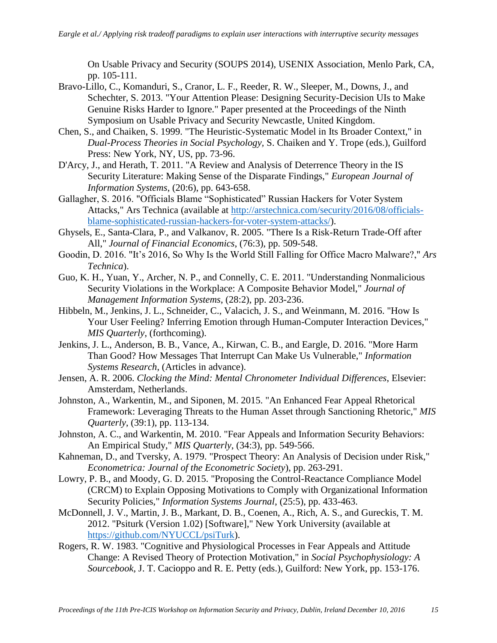On Usable Privacy and Security (SOUPS 2014), USENIX Association, Menlo Park, CA, pp. 105-111.

- Bravo-Lillo, C., Komanduri, S., Cranor, L. F., Reeder, R. W., Sleeper, M., Downs, J., and Schechter, S. 2013. "Your Attention Please: Designing Security-Decision UIs to Make Genuine Risks Harder to Ignore." Paper presented at the Proceedings of the Ninth Symposium on Usable Privacy and Security Newcastle, United Kingdom.
- Chen, S., and Chaiken, S. 1999. "The Heuristic-Systematic Model in Its Broader Context," in *Dual-Process Theories in Social Psychology,* S. Chaiken and Y. Trope (eds.), Guilford Press: New York, NY, US, pp. 73-96.
- D'Arcy, J., and Herath, T. 2011. "A Review and Analysis of Deterrence Theory in the IS Security Literature: Making Sense of the Disparate Findings," *European Journal of Information Systems*, (20:6), pp. 643-658.
- Gallagher, S. 2016. "Officials Blame "Sophisticated" Russian Hackers for Voter System Attacks," Ars Technica (available at [http://arstechnica.com/security/2016/08/officials](http://arstechnica.com/security/2016/08/officials-blame-sophisticated-russian-hackers-for-voter-system-attacks/)[blame-sophisticated-russian-hackers-for-voter-system-attacks/\)](http://arstechnica.com/security/2016/08/officials-blame-sophisticated-russian-hackers-for-voter-system-attacks/).
- Ghysels, E., Santa-Clara, P., and Valkanov, R. 2005. "There Is a Risk-Return Trade-Off after All," *Journal of Financial Economics*, (76:3), pp. 509-548.
- Goodin, D. 2016. "It's 2016, So Why Is the World Still Falling for Office Macro Malware?," *Ars Technica*).
- Guo, K. H., Yuan, Y., Archer, N. P., and Connelly, C. E. 2011. "Understanding Nonmalicious Security Violations in the Workplace: A Composite Behavior Model," *Journal of Management Information Systems*, (28:2), pp. 203-236.
- Hibbeln, M., Jenkins, J. L., Schneider, C., Valacich, J. S., and Weinmann, M. 2016. "How Is Your User Feeling? Inferring Emotion through Human-Computer Interaction Devices," *MIS Quarterly*, (forthcoming).
- Jenkins, J. L., Anderson, B. B., Vance, A., Kirwan, C. B., and Eargle, D. 2016. "More Harm Than Good? How Messages That Interrupt Can Make Us Vulnerable," *Information Systems Research*, (Articles in advance).
- Jensen, A. R. 2006. *Clocking the Mind: Mental Chronometer Individual Differences*, Elsevier: Amsterdam, Netherlands.
- Johnston, A., Warkentin, M., and Siponen, M. 2015. "An Enhanced Fear Appeal Rhetorical Framework: Leveraging Threats to the Human Asset through Sanctioning Rhetoric," *MIS Quarterly*, (39:1), pp. 113-134.
- Johnston, A. C., and Warkentin, M. 2010. "Fear Appeals and Information Security Behaviors: An Empirical Study," *MIS Quarterly*, (34:3), pp. 549-566.
- Kahneman, D., and Tversky, A. 1979. "Prospect Theory: An Analysis of Decision under Risk," *Econometrica: Journal of the Econometric Society*), pp. 263-291.
- Lowry, P. B., and Moody, G. D. 2015. "Proposing the Control-Reactance Compliance Model (CRCM) to Explain Opposing Motivations to Comply with Organizational Information Security Policies," *Information Systems Journal*, (25:5), pp. 433-463.
- McDonnell, J. V., Martin, J. B., Markant, D. B., Coenen, A., Rich, A. S., and Gureckis, T. M. 2012. "Psiturk (Version 1.02) [Software]," New York University (available at [https://github.com/NYUCCL/psiTurk\)](https://github.com/NYUCCL/psiTurk).
- Rogers, R. W. 1983. "Cognitive and Physiological Processes in Fear Appeals and Attitude Change: A Revised Theory of Protection Motivation," in *Social Psychophysiology: A Sourcebook,* J. T. Cacioppo and R. E. Petty (eds.), Guilford: New York, pp. 153-176.